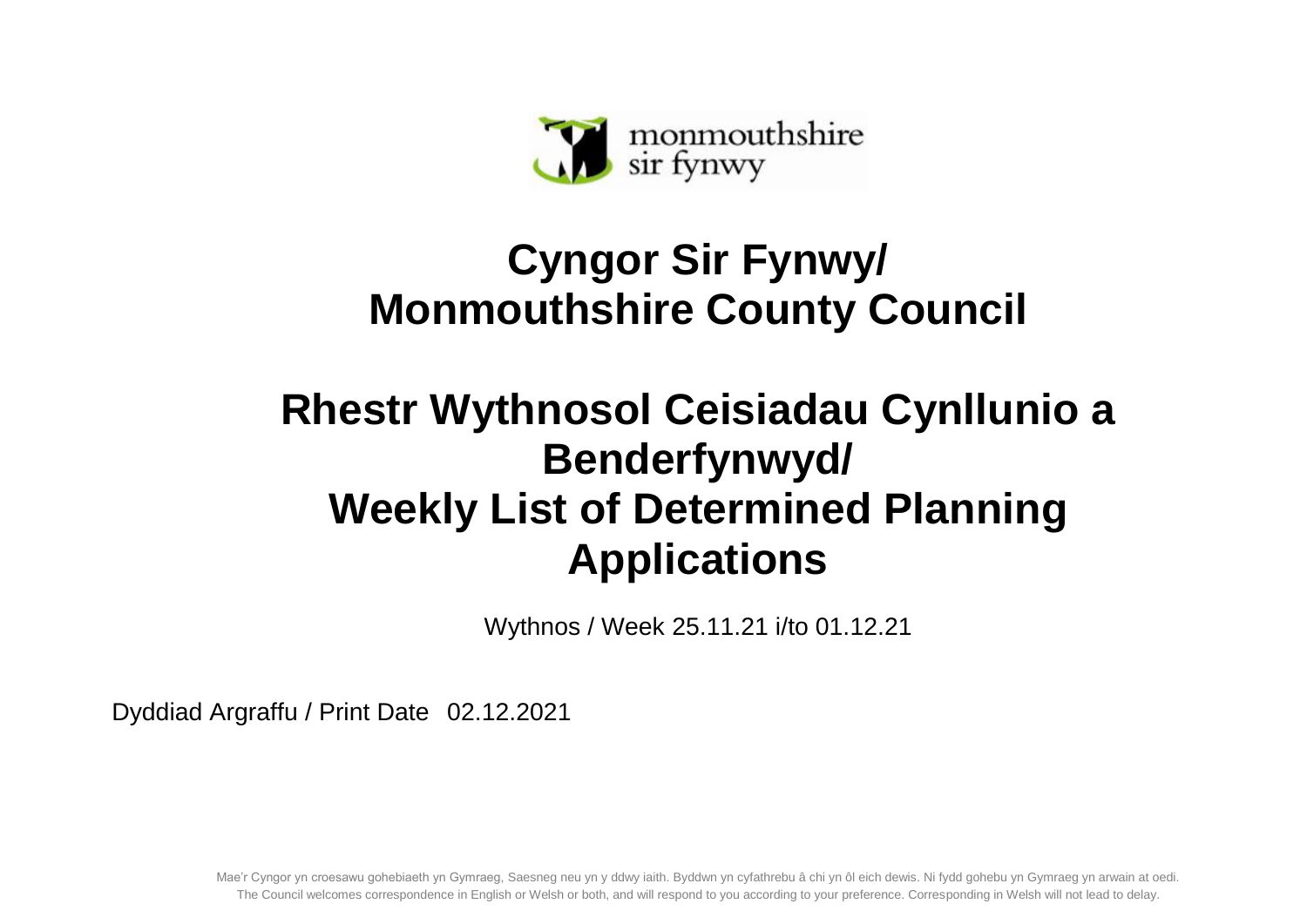

## **Cyngor Sir Fynwy/ Monmouthshire County Council**

## **Rhestr Wythnosol Ceisiadau Cynllunio a Benderfynwyd/ Weekly List of Determined Planning Applications**

Wythnos / Week 25.11.21 i/to 01.12.21

Dyddiad Argraffu / Print Date 02.12.2021

Mae'r Cyngor yn croesawu gohebiaeth yn Gymraeg, Saesneg neu yn y ddwy iaith. Byddwn yn cyfathrebu â chi yn ôl eich dewis. Ni fydd gohebu yn Gymraeg yn arwain at oedi. The Council welcomes correspondence in English or Welsh or both, and will respond to you according to your preference. Corresponding in Welsh will not lead to delay.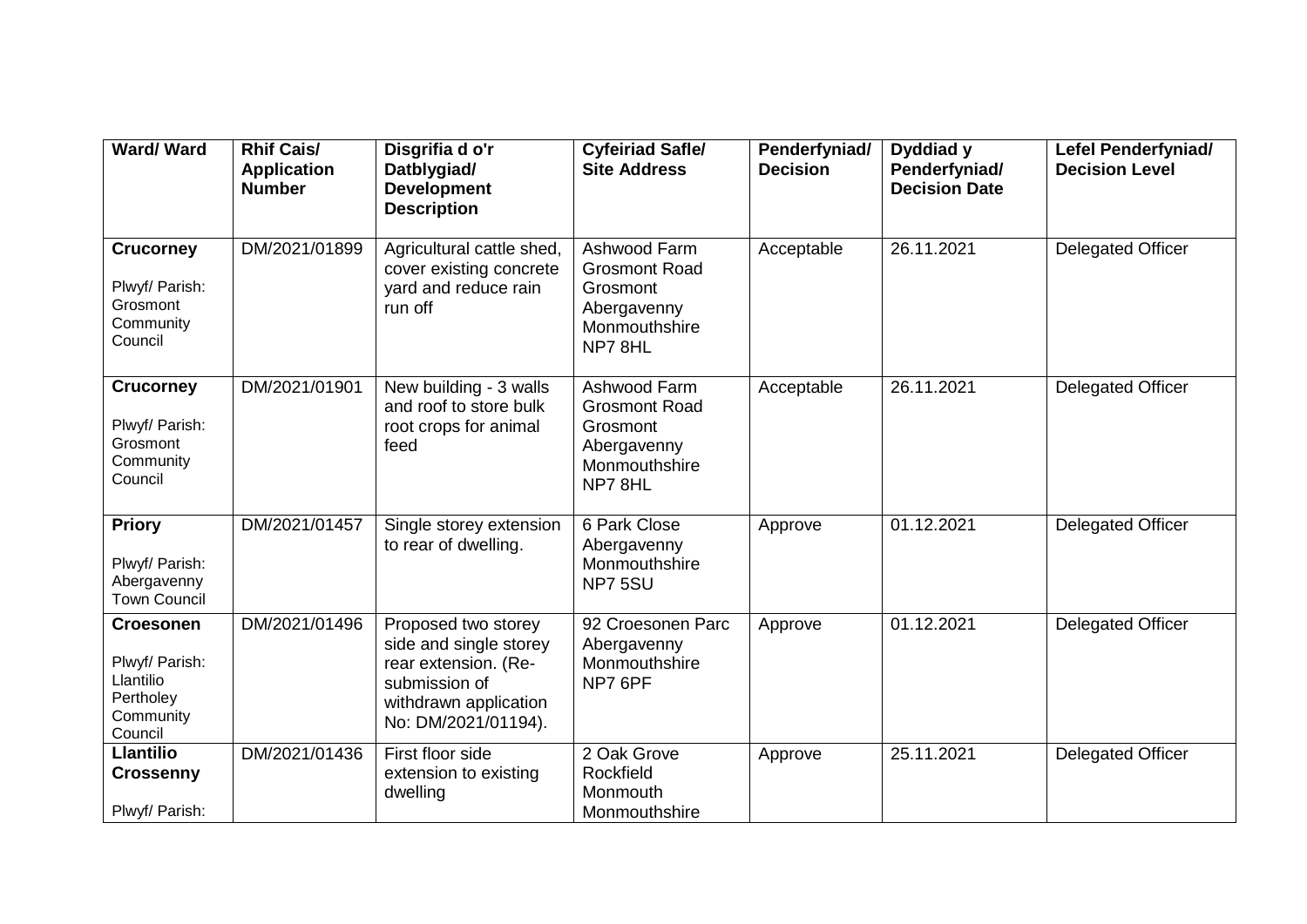| Ward/Ward                                                                            | <b>Rhif Cais/</b><br><b>Application</b><br><b>Number</b> | Disgrifia d o'r<br>Datblygiad/<br><b>Development</b><br><b>Description</b>                                                             | <b>Cyfeiriad Safle/</b><br><b>Site Address</b>                                             | Penderfyniad/<br><b>Decision</b> | Dyddiad y<br>Penderfyniad/<br><b>Decision Date</b> | <b>Lefel Penderfyniad/</b><br><b>Decision Level</b> |
|--------------------------------------------------------------------------------------|----------------------------------------------------------|----------------------------------------------------------------------------------------------------------------------------------------|--------------------------------------------------------------------------------------------|----------------------------------|----------------------------------------------------|-----------------------------------------------------|
| <b>Crucorney</b><br>Plwyf/ Parish:<br>Grosmont<br>Community<br>Council               | DM/2021/01899                                            | Agricultural cattle shed,<br>cover existing concrete<br>yard and reduce rain<br>run off                                                | Ashwood Farm<br><b>Grosmont Road</b><br>Grosmont<br>Abergavenny<br>Monmouthshire<br>NP78HL | Acceptable                       | 26.11.2021                                         | <b>Delegated Officer</b>                            |
| <b>Crucorney</b><br>Plwyf/ Parish:<br>Grosmont<br>Community<br>Council               | DM/2021/01901                                            | New building - 3 walls<br>and roof to store bulk<br>root crops for animal<br>feed                                                      | Ashwood Farm<br><b>Grosmont Road</b><br>Grosmont<br>Abergavenny<br>Monmouthshire<br>NP78HL | Acceptable                       | 26.11.2021                                         | <b>Delegated Officer</b>                            |
| <b>Priory</b><br>Plwyf/ Parish:<br>Abergavenny<br><b>Town Council</b>                | DM/2021/01457                                            | Single storey extension<br>to rear of dwelling.                                                                                        | 6 Park Close<br>Abergavenny<br>Monmouthshire<br>NP7 5SU                                    | Approve                          | 01.12.2021                                         | <b>Delegated Officer</b>                            |
| <b>Croesonen</b><br>Plwyf/ Parish:<br>Llantilio<br>Pertholey<br>Community<br>Council | DM/2021/01496                                            | Proposed two storey<br>side and single storey<br>rear extension. (Re-<br>submission of<br>withdrawn application<br>No: DM/2021/01194). | 92 Croesonen Parc<br>Abergavenny<br>Monmouthshire<br>NP7 6PF                               | Approve                          | 01.12.2021                                         | <b>Delegated Officer</b>                            |
| <b>Llantilio</b><br><b>Crossenny</b><br>Plwyf/ Parish:                               | DM/2021/01436                                            | First floor side<br>extension to existing<br>dwelling                                                                                  | 2 Oak Grove<br>Rockfield<br>Monmouth<br>Monmouthshire                                      | Approve                          | 25.11.2021                                         | <b>Delegated Officer</b>                            |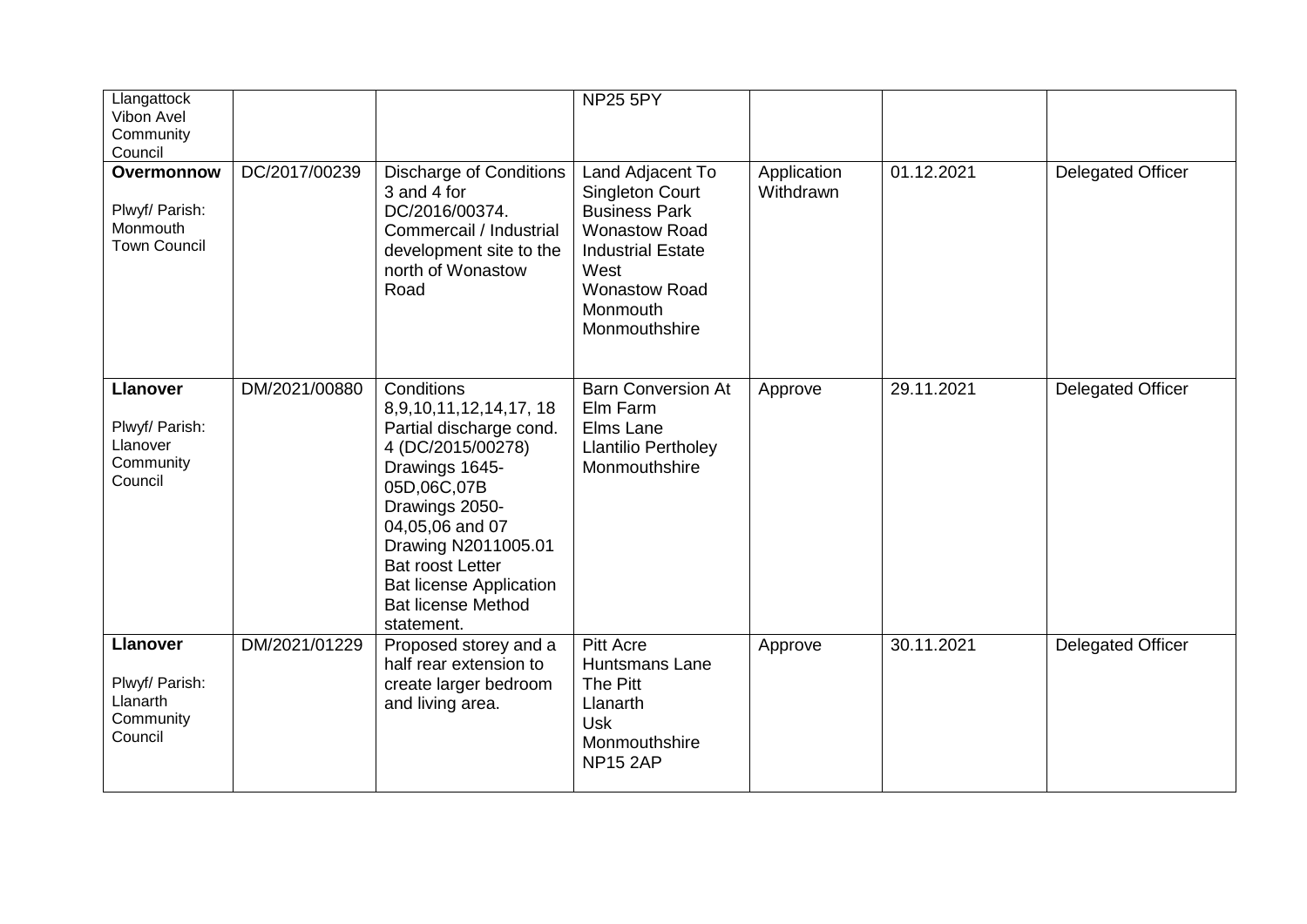| Llangattock<br>Vibon Avel<br>Community<br>Council                     |               |                                                                                                                                                                                                                                                                                           | <b>NP25 5PY</b>                                                                                                                                                                     |                          |            |                          |
|-----------------------------------------------------------------------|---------------|-------------------------------------------------------------------------------------------------------------------------------------------------------------------------------------------------------------------------------------------------------------------------------------------|-------------------------------------------------------------------------------------------------------------------------------------------------------------------------------------|--------------------------|------------|--------------------------|
| Overmonnow<br>Plwyf/ Parish:<br>Monmouth<br><b>Town Council</b>       | DC/2017/00239 | <b>Discharge of Conditions</b><br>3 and 4 for<br>DC/2016/00374.<br>Commercail / Industrial<br>development site to the<br>north of Wonastow<br>Road                                                                                                                                        | Land Adjacent To<br><b>Singleton Court</b><br><b>Business Park</b><br><b>Wonastow Road</b><br><b>Industrial Estate</b><br>West<br><b>Wonastow Road</b><br>Monmouth<br>Monmouthshire | Application<br>Withdrawn | 01.12.2021 | <b>Delegated Officer</b> |
| <b>Llanover</b><br>Plwyf/ Parish:<br>Llanover<br>Community<br>Council | DM/2021/00880 | Conditions<br>8,9,10,11,12,14,17, 18<br>Partial discharge cond.<br>4 (DC/2015/00278)<br>Drawings 1645-<br>05D,06C,07B<br>Drawings 2050-<br>04,05,06 and 07<br>Drawing N2011005.01<br><b>Bat roost Letter</b><br><b>Bat license Application</b><br><b>Bat license Method</b><br>statement. | <b>Barn Conversion At</b><br>Elm Farm<br>Elms Lane<br><b>Llantilio Pertholey</b><br>Monmouthshire                                                                                   | Approve                  | 29.11.2021 | <b>Delegated Officer</b> |
| <b>Llanover</b><br>Plwyf/ Parish:<br>Llanarth<br>Community<br>Council | DM/2021/01229 | Proposed storey and a<br>half rear extension to<br>create larger bedroom<br>and living area.                                                                                                                                                                                              | <b>Pitt Acre</b><br>Huntsmans Lane<br>The Pitt<br>Llanarth<br><b>Usk</b><br>Monmouthshire<br><b>NP15 2AP</b>                                                                        | Approve                  | 30.11.2021 | <b>Delegated Officer</b> |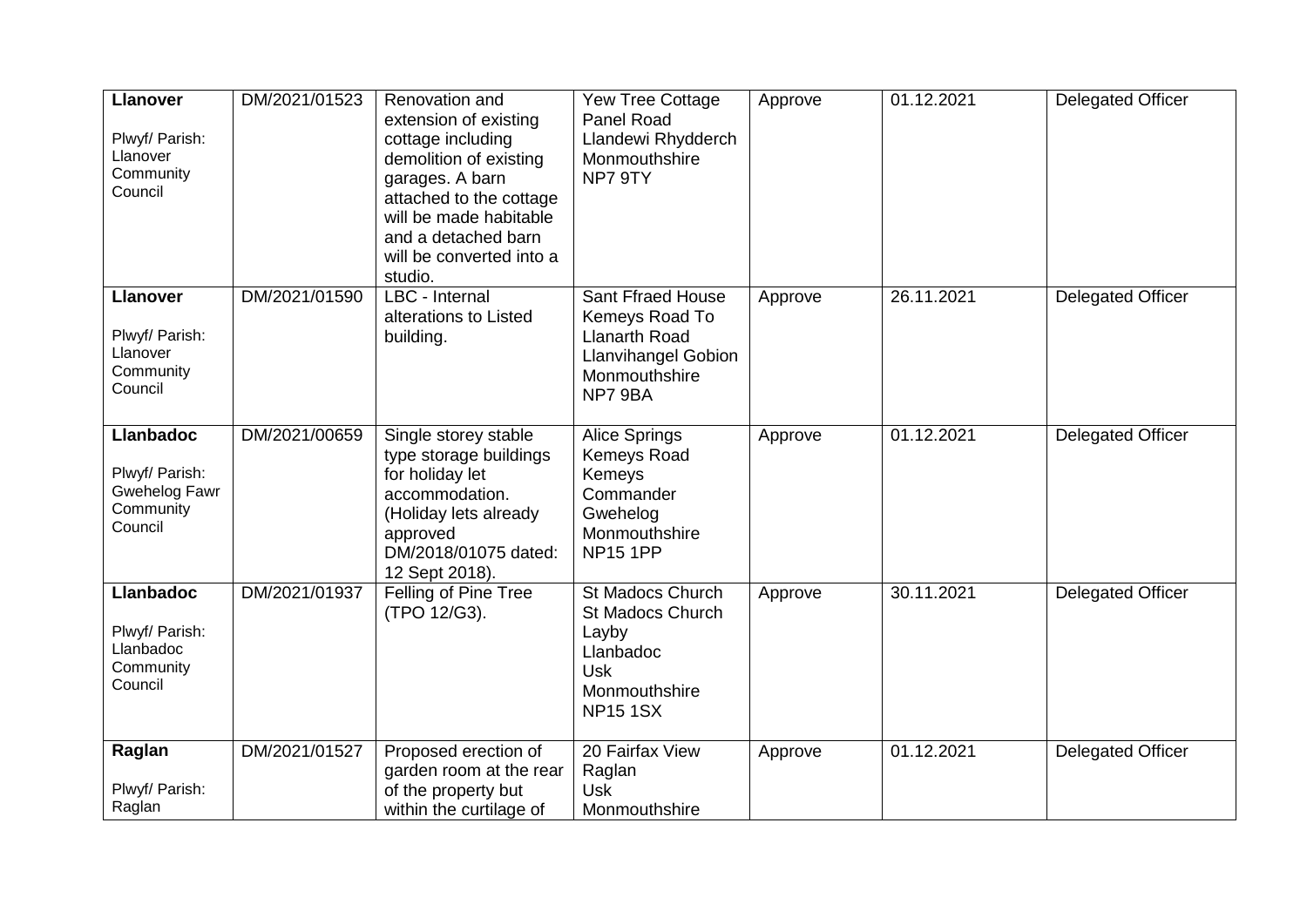| <b>Llanover</b><br>Plwyf/ Parish:<br>Llanover<br>Community<br>Council       | DM/2021/01523 | Renovation and<br>extension of existing<br>cottage including<br>demolition of existing<br>garages. A barn<br>attached to the cottage<br>will be made habitable<br>and a detached barn<br>will be converted into a<br>studio. | Yew Tree Cottage<br>Panel Road<br>Llandewi Rhydderch<br>Monmouthshire<br>NP7 9TY                                             | Approve | 01.12.2021 | <b>Delegated Officer</b> |
|-----------------------------------------------------------------------------|---------------|------------------------------------------------------------------------------------------------------------------------------------------------------------------------------------------------------------------------------|------------------------------------------------------------------------------------------------------------------------------|---------|------------|--------------------------|
| <b>Llanover</b><br>Plwyf/ Parish:<br>Llanover<br>Community<br>Council       | DM/2021/01590 | LBC - Internal<br>alterations to Listed<br>building.                                                                                                                                                                         | <b>Sant Ffraed House</b><br>Kemeys Road To<br><b>Llanarth Road</b><br><b>Llanvihangel Gobion</b><br>Monmouthshire<br>NP7 9BA | Approve | 26.11.2021 | <b>Delegated Officer</b> |
| <b>Llanbadoc</b><br>Plwyf/ Parish:<br>Gwehelog Fawr<br>Community<br>Council | DM/2021/00659 | Single storey stable<br>type storage buildings<br>for holiday let<br>accommodation.<br>(Holiday lets already<br>approved<br>DM/2018/01075 dated:<br>12 Sept 2018).                                                           | Alice Springs<br>Kemeys Road<br>Kemeys<br>Commander<br>Gwehelog<br>Monmouthshire<br><b>NP15 1PP</b>                          | Approve | 01.12.2021 | <b>Delegated Officer</b> |
| <b>Llanbadoc</b><br>Plwyf/ Parish:<br>Llanbadoc<br>Community<br>Council     | DM/2021/01937 | Felling of Pine Tree<br>(TPO 12/G3).                                                                                                                                                                                         | <b>St Madocs Church</b><br><b>St Madocs Church</b><br>Layby<br>Llanbadoc<br><b>Usk</b><br>Monmouthshire<br><b>NP151SX</b>    | Approve | 30.11.2021 | <b>Delegated Officer</b> |
| Raglan<br>Plwyf/ Parish:<br>Raglan                                          | DM/2021/01527 | Proposed erection of<br>garden room at the rear<br>of the property but<br>within the curtilage of                                                                                                                            | 20 Fairfax View<br>Raglan<br><b>Usk</b><br>Monmouthshire                                                                     | Approve | 01.12.2021 | <b>Delegated Officer</b> |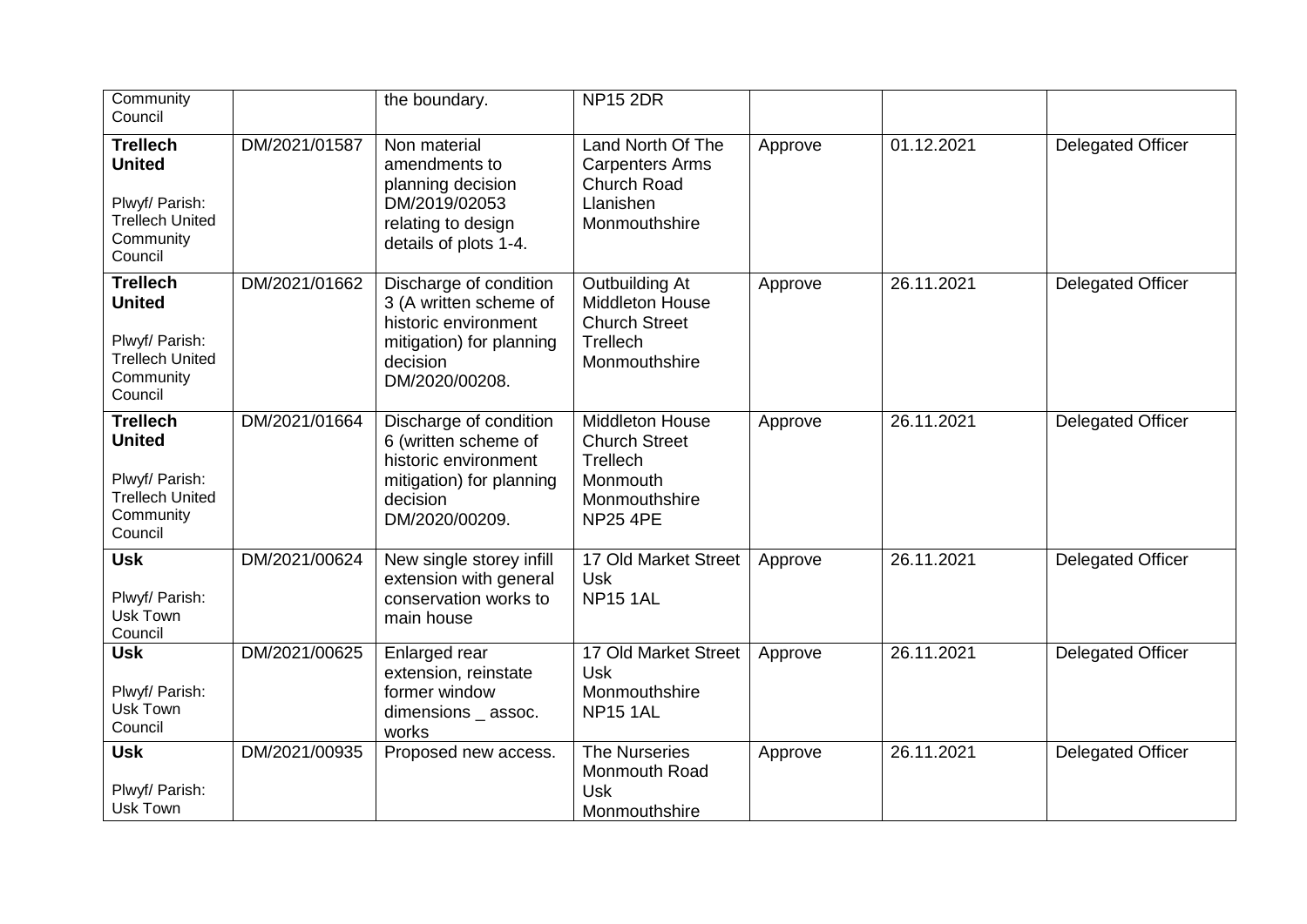| Community<br>Council                                                                                 |               | the boundary.                                                                                                                      | <b>NP15 2DR</b>                                                                                            |         |            |                          |
|------------------------------------------------------------------------------------------------------|---------------|------------------------------------------------------------------------------------------------------------------------------------|------------------------------------------------------------------------------------------------------------|---------|------------|--------------------------|
| <b>Trellech</b><br><b>United</b><br>Plwyf/ Parish:<br><b>Trellech United</b><br>Community<br>Council | DM/2021/01587 | Non material<br>amendments to<br>planning decision<br>DM/2019/02053<br>relating to design<br>details of plots 1-4.                 | Land North Of The<br><b>Carpenters Arms</b><br>Church Road<br>Llanishen<br>Monmouthshire                   | Approve | 01.12.2021 | <b>Delegated Officer</b> |
| <b>Trellech</b><br><b>United</b><br>Plwyf/ Parish:<br><b>Trellech United</b><br>Community<br>Council | DM/2021/01662 | Discharge of condition<br>3 (A written scheme of<br>historic environment<br>mitigation) for planning<br>decision<br>DM/2020/00208. | Outbuilding At<br><b>Middleton House</b><br><b>Church Street</b><br>Trellech<br>Monmouthshire              | Approve | 26.11.2021 | <b>Delegated Officer</b> |
| <b>Trellech</b><br><b>United</b><br>Plwyf/ Parish:<br><b>Trellech United</b><br>Community<br>Council | DM/2021/01664 | Discharge of condition<br>6 (written scheme of<br>historic environment<br>mitigation) for planning<br>decision<br>DM/2020/00209.   | <b>Middleton House</b><br><b>Church Street</b><br>Trellech<br>Monmouth<br>Monmouthshire<br><b>NP25 4PE</b> | Approve | 26.11.2021 | <b>Delegated Officer</b> |
| <b>Usk</b><br>Plwyf/ Parish:<br>Usk Town<br>Council                                                  | DM/2021/00624 | New single storey infill<br>extension with general<br>conservation works to<br>main house                                          | 17 Old Market Street<br><b>Usk</b><br><b>NP15 1AL</b>                                                      | Approve | 26.11.2021 | <b>Delegated Officer</b> |
| <b>Usk</b><br>Plwyf/ Parish:<br><b>Usk Town</b><br>Council                                           | DM/2021/00625 | Enlarged rear<br>extension, reinstate<br>former window<br>dimensions _ assoc.<br>works                                             | 17 Old Market Street<br>Usk<br>Monmouthshire<br><b>NP15 1AL</b>                                            | Approve | 26.11.2021 | <b>Delegated Officer</b> |
| <b>Usk</b><br>Plwyf/ Parish:<br>Usk Town                                                             | DM/2021/00935 | Proposed new access.                                                                                                               | The Nurseries<br>Monmouth Road<br><b>Usk</b><br>Monmouthshire                                              | Approve | 26.11.2021 | <b>Delegated Officer</b> |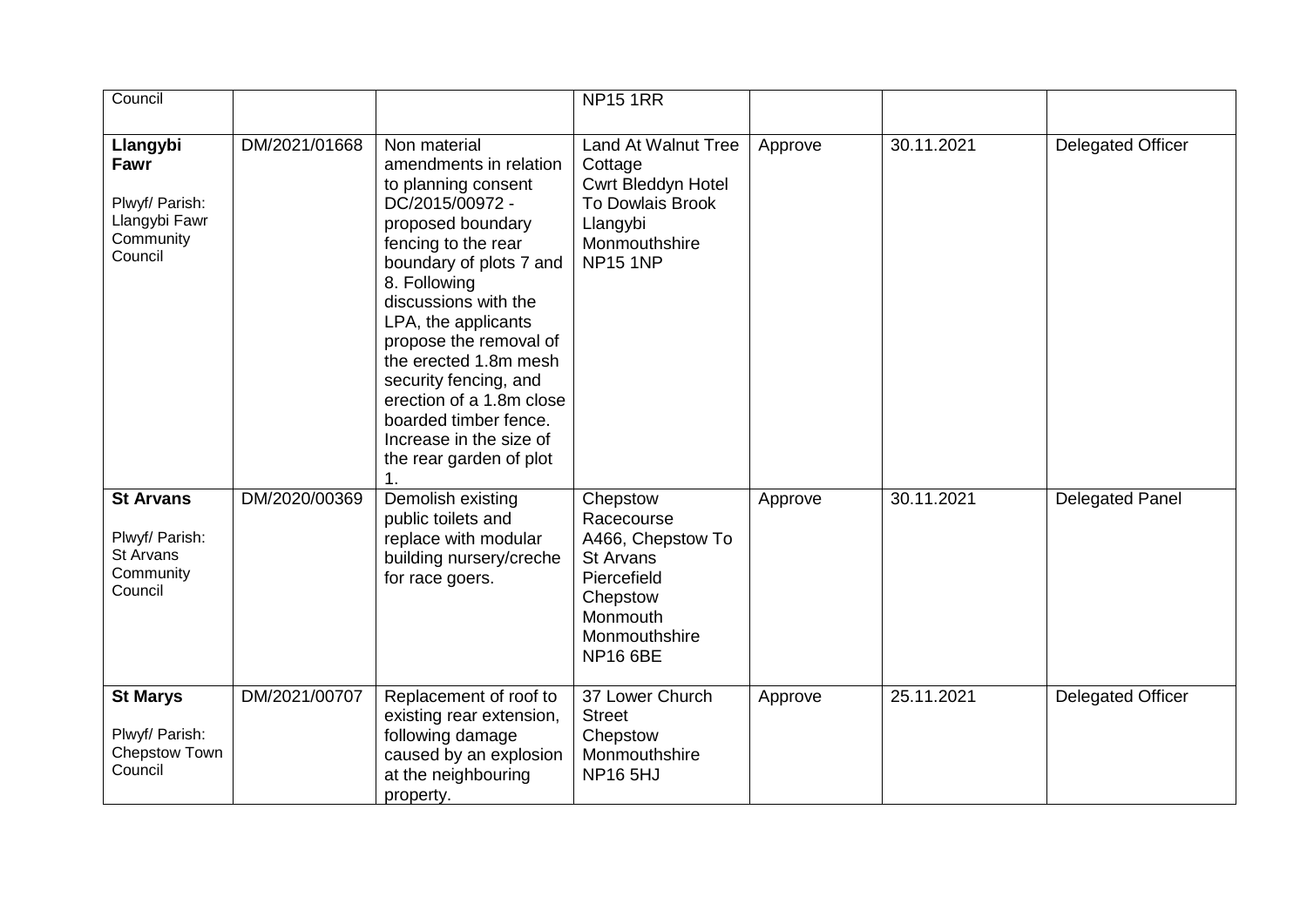| Council                                                                     |               |                                                                                                                                                                                                                                                                                                                                                                                                               | <b>NP15 1RR</b>                                                                                                                               |         |            |                          |
|-----------------------------------------------------------------------------|---------------|---------------------------------------------------------------------------------------------------------------------------------------------------------------------------------------------------------------------------------------------------------------------------------------------------------------------------------------------------------------------------------------------------------------|-----------------------------------------------------------------------------------------------------------------------------------------------|---------|------------|--------------------------|
| Llangybi<br>Fawr<br>Plwyf/ Parish:<br>Llangybi Fawr<br>Community<br>Council | DM/2021/01668 | Non material<br>amendments in relation<br>to planning consent<br>DC/2015/00972 -<br>proposed boundary<br>fencing to the rear<br>boundary of plots 7 and<br>8. Following<br>discussions with the<br>LPA, the applicants<br>propose the removal of<br>the erected 1.8m mesh<br>security fencing, and<br>erection of a 1.8m close<br>boarded timber fence.<br>Increase in the size of<br>the rear garden of plot | <b>Land At Walnut Tree</b><br>Cottage<br><b>Cwrt Bleddyn Hotel</b><br><b>To Dowlais Brook</b><br>Llangybi<br>Monmouthshire<br><b>NP15 1NP</b> | Approve | 30.11.2021 | <b>Delegated Officer</b> |
| <b>St Arvans</b><br>Plwyf/ Parish:<br>St Arvans<br>Community<br>Council     | DM/2020/00369 | Demolish existing<br>public toilets and<br>replace with modular<br>building nursery/creche<br>for race goers.                                                                                                                                                                                                                                                                                                 | Chepstow<br>Racecourse<br>A466, Chepstow To<br><b>St Arvans</b><br>Piercefield<br>Chepstow<br>Monmouth<br>Monmouthshire<br><b>NP16 6BE</b>    | Approve | 30.11.2021 | <b>Delegated Panel</b>   |
| <b>St Marys</b><br>Plwyf/ Parish:<br>Chepstow Town<br>Council               | DM/2021/00707 | Replacement of roof to<br>existing rear extension,<br>following damage<br>caused by an explosion<br>at the neighbouring<br>property.                                                                                                                                                                                                                                                                          | 37 Lower Church<br><b>Street</b><br>Chepstow<br>Monmouthshire<br><b>NP16 5HJ</b>                                                              | Approve | 25.11.2021 | <b>Delegated Officer</b> |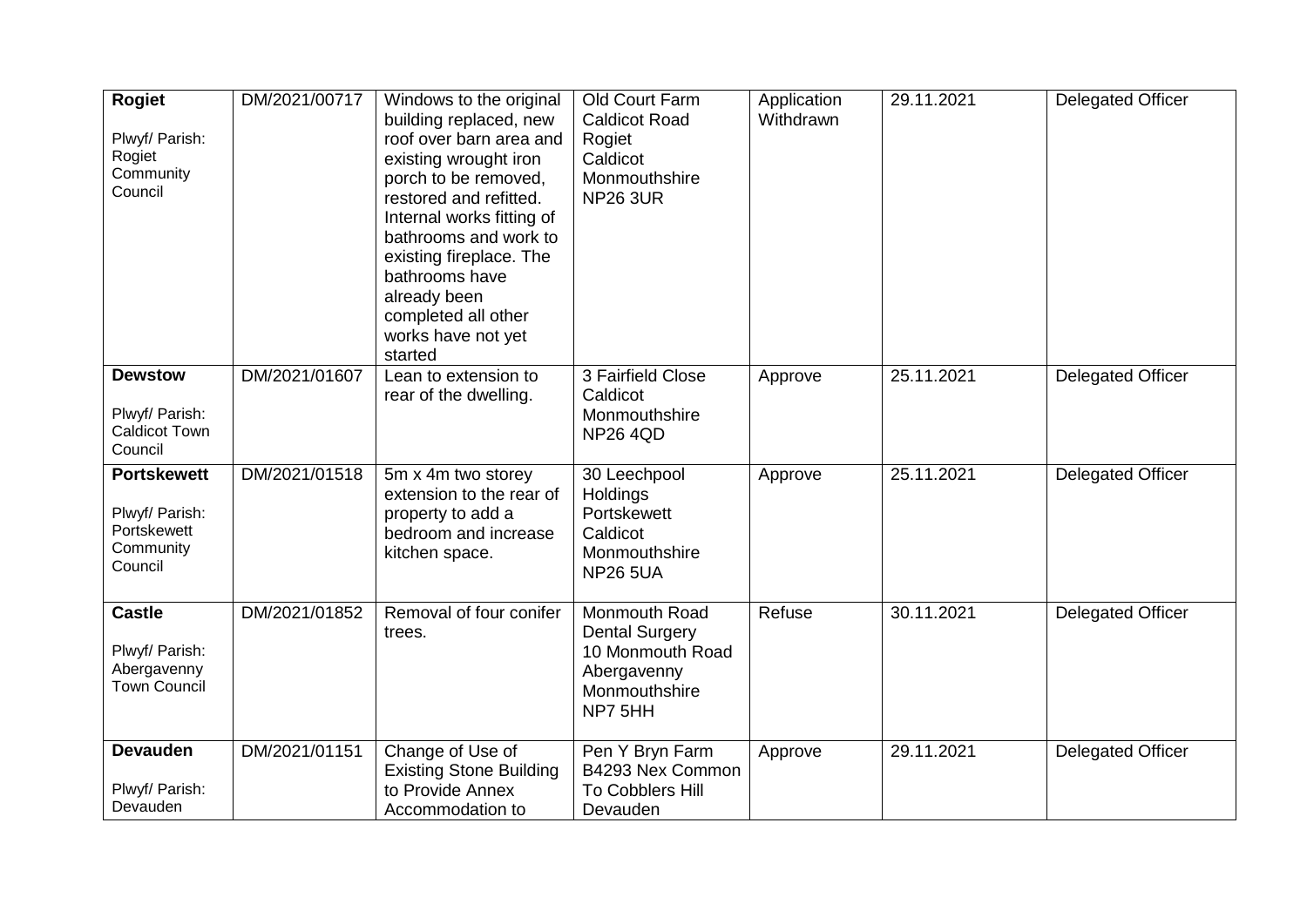| <b>Rogiet</b><br>Plwyf/ Parish:<br>Rogiet<br>Community<br>Council           | DM/2021/00717 | Windows to the original<br>building replaced, new<br>roof over barn area and<br>existing wrought iron<br>porch to be removed,<br>restored and refitted.<br>Internal works fitting of<br>bathrooms and work to<br>existing fireplace. The<br>bathrooms have<br>already been<br>completed all other<br>works have not yet<br>started | Old Court Farm<br><b>Caldicot Road</b><br>Rogiet<br>Caldicot<br>Monmouthshire<br><b>NP26 3UR</b>      | Application<br>Withdrawn | 29.11.2021 | <b>Delegated Officer</b> |
|-----------------------------------------------------------------------------|---------------|------------------------------------------------------------------------------------------------------------------------------------------------------------------------------------------------------------------------------------------------------------------------------------------------------------------------------------|-------------------------------------------------------------------------------------------------------|--------------------------|------------|--------------------------|
| <b>Dewstow</b><br>Plwyf/ Parish:<br><b>Caldicot Town</b><br>Council         | DM/2021/01607 | Lean to extension to<br>rear of the dwelling.                                                                                                                                                                                                                                                                                      | 3 Fairfield Close<br>Caldicot<br>Monmouthshire<br><b>NP26 4QD</b>                                     | Approve                  | 25.11.2021 | <b>Delegated Officer</b> |
| <b>Portskewett</b><br>Plwyf/ Parish:<br>Portskewett<br>Community<br>Council | DM/2021/01518 | 5m x 4m two storey<br>extension to the rear of<br>property to add a<br>bedroom and increase<br>kitchen space.                                                                                                                                                                                                                      | 30 Leechpool<br>Holdings<br>Portskewett<br>Caldicot<br>Monmouthshire<br><b>NP26 5UA</b>               | Approve                  | 25.11.2021 | <b>Delegated Officer</b> |
| <b>Castle</b><br>Plwyf/ Parish:<br>Abergavenny<br><b>Town Council</b>       | DM/2021/01852 | Removal of four conifer<br>trees.                                                                                                                                                                                                                                                                                                  | Monmouth Road<br><b>Dental Surgery</b><br>10 Monmouth Road<br>Abergavenny<br>Monmouthshire<br>NP7 5HH | Refuse                   | 30.11.2021 | <b>Delegated Officer</b> |
| <b>Devauden</b><br>Plwyf/ Parish:<br>Devauden                               | DM/2021/01151 | Change of Use of<br><b>Existing Stone Building</b><br>to Provide Annex<br>Accommodation to                                                                                                                                                                                                                                         | Pen Y Bryn Farm<br>B4293 Nex Common<br>To Cobblers Hill<br>Devauden                                   | Approve                  | 29.11.2021 | <b>Delegated Officer</b> |